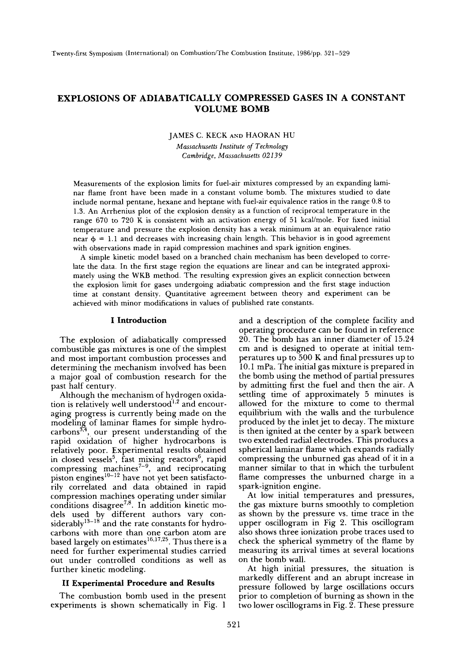## **EXPLOSIONS OF ADIABATICALLY COMPRESSED GASES IN A CONSTANT VOLUME BOMB**

JAMES C. KECK AND HAORAN HU

*Massachusetts Institute of Technology Cambridge, Massachusetts 02139* 

Measurements of the explosion limits for fuel-air mixtures compressed by an expanding laminar flame front have been made in a constant volume bomb. The mixtures studied to date include normal pentane, hexane and heptane with fuel-air equivalence ratios in the range 0.8 to 1.3. An Arrhenius plot of the explosion density as a function of reciprocal temperature in the range 670 to 720 K is consistent with an activation energy of 51 kcal/mole. For fixed initial temperature and pressure the explosion density has a weak minimum at an equivalence ratio near  $\phi = 1.1$  and decreases with increasing chain length. This behavior is in good agreement with observations made in rapid compression machines and spark ignition engines.

A simple kinetic model based on a branched chain mechanism has been developed to correlate the data. In the first stage region the equations are linear and can be integrated approximately using the WKB method. The resulting expression gives an explicit connection between the explosion limit for gases undergoing adiabatic compression and the first stage induction time at constant density. Quantitative agreement between theory and experiment can be achieved with minor modifications in values of published rate constants.

### **I Introduction**

The explosion of adiabatically compressed combustible gas mixtures is one of the simplest and most important combustion processes and determining the mechanism involved has been a major goal of combustion research for the past half century.

Although the mechanism of hydrogen oxidation is relatively well understood<sup>1,2</sup> and encouraging progress is currently being made on the modeling of laminar flames for simple hydrocarbons<sup>3,4</sup>, our present understanding of the rapid oxidation of higher hydrocarbons is relatively poor. Experimental results obtained in closed vessels<sup>5</sup>, fast mixing reactors<sup>6</sup>, rapid compressing machines<sup> $7-9$ </sup>, and reciprocating piston engines $10-12$  have not yet been satisfactorily correlated and data obtained in rapid compression machines operating under similar conditions disagree<sup>7,8</sup>. In addition kinetic models used by different authors vary con $siderably^{13-18}$  and the rate constants for hydrocarbons with more than one carbon atom are based largely on estimates <sup>16,17,25</sup>. Thus there is a need for further experimental studies carried out under controlled conditions as well as further kinetic modeling.

## **II Experimental Procedure and Results**

The combustion bomb used in the present experiments is shown schematically in Fig. 1 and a description of the complete facility and operating procedure can be found in reference 20. The bomb has an inner diameter of 15.24 cm and is designed to operate at initial temperatures up to 500 K and final pressures up to I0.1 mPa. The initial gas mixture is prepared in the bomb using the method of partial pressures by admitting first the fuel and then the air. A settling time of approximately 5 minutes is allowed for the mixture to come to thermal equilibrium with the walls and the turbulence produced by the inlet jet to decay. The mixture is then ignited at the center by a spark between two extended radial electrodes. This produces a spherical laminar flame which expands radially compressing the unburned gas ahead of it in a manner similar to that in which the turbulent flame compresses the unburned charge in a spark-ignition engine.

At low initial temperatures and pressures, the gas mixture burns smoothly to completion as shown by the pressure vs. time trace in the upper oscillogram in Fig 2. This oscillogram also shows three ionization probe traces used to check the spherical symmetry of the flame by measuring its arrival times at several locations on the bomb wall.

At high initial pressures, the situation is markedly different and an abrupt increase in pressure followed by large oscillations occurs prior to completion of burning as shown in the two lower oscillograms in Fig. 2. These pressure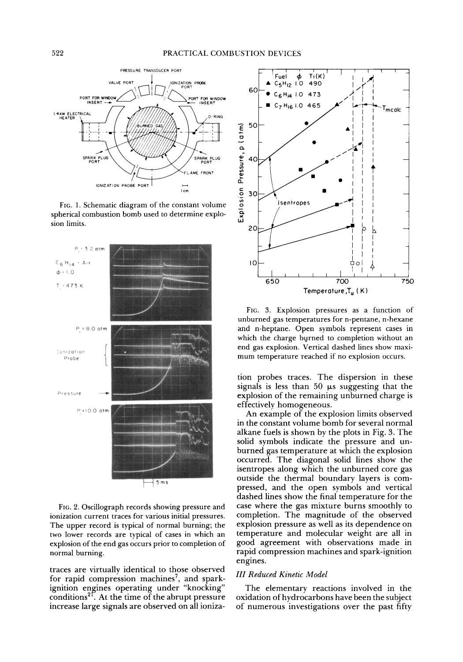

FIG. 1. Schematic diagram of the constant volume spherical combustion bomb used to determine explosion limits.  $20\frac{1}{2}$ 



FIG. 2. Oscillograph records showing pressure and ionization current traces for various initial pressures. The upper record is typical of normal burning; the two lower records are typical of cases in which an explosion of the end gas occurs prior to completion of normal burning.

traces are virtually identical to those observed for rapid compression machines<sup>7</sup>, and sparkignition engines operating under "knocking" conditions<sup>21</sup>. At the time of the abrupt pressure increase large signals are observed on all ioniza-



FIG. 3. Explosion pressures as a function of unburned gas temperatures for n-pentane, n-hexane and n-heptane. Open symbols represent cases in which the charge burned to completion without an end gas explosion. Vertical dashed lines show maximum temperature reached if no explosion occurs.

tion probes traces. The dispersion in these signals is less than 50  $\mu$ s suggesting that the explosion of the remaining unburned charge is effectively homogeneous.

An example of the explosion limits observed in the constant volume bomb for several normal alkane fuels is shown by the plots in Fig. 3. The solid symbols indicate the pressure and unburned gas temperature at which the explosion occurred. The diagonal solid lines show the isentropes along which the unburned core gas outside the thermal boundary layers is compressed, and the open symbols and vertical dashed lines show the final temperature for the case where the gas mixture burns smoothly to completion. The magnitude of the observed explosion pressure as well as its dependence on temperature and molecular weight are all in good agreement with observations made in rapid compression machines and spark-ignition engines.

#### *Ill Reduced Kinetic Model*

The elementary reactions involved in the oxidation of hydrocarbons have been the subject of numerous investigations over the past fifty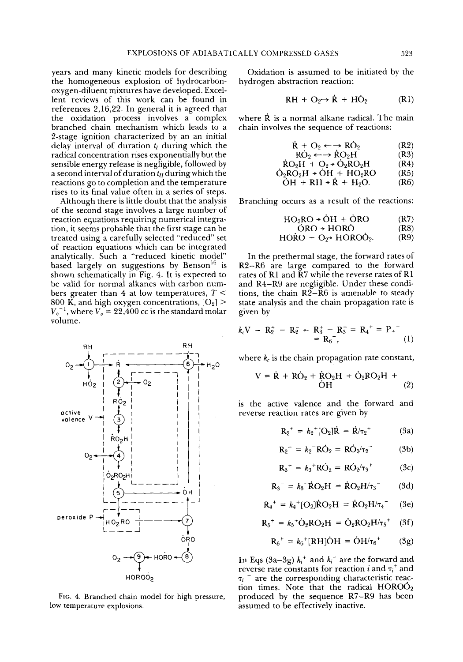years and many kinetic models for describing the homogeneous explosion of hydrocarbonoxygen-diluent mixtures have developed. Excellent reviews of this work can be found in references 2,16,22. In general it is agreed that the oxidation process involves a complex branched chain mechanism which leads to a 2-stage ignition characterized by an an initial delay interval of duration *tz* during which the radical concentration rises exponentially but the sensible energy release is negligible, followed by a second interval of duration *hi* during which the reactions go to completion and the temperature rises to its final value often in a series of steps.

Although there is little doubt that the analysis of the second stage involves a large number of reaction equations requiring numerical integration, it seems probable that the first stage can be treated using a carefully selected "reduced" set of reaction equations which can be integrated analytically. Such a "reduced kinetic model" based largely on suggestions by Benson<sup>16</sup> is shown schematically in Fig. 4. It is expected to be valid for normal alkanes with carbon numbers greater than 4 at low temperatures,  $T \leq$ 800 K, and high oxygen concentrations,  $[O_2]$  >  $V_o^{-1}$ , where  $V_o = 22,400$  cc is the standard molar volume.



Fro. 4. Branched chain model for high pressure, low temperature explosions.

Oxidation is assumed to be initiated by the hydrogen abstraction reaction:

$$
RH + O_2 \rightarrow \dot{R} + H\dot{O}_2 \qquad (R1)
$$

where  $\dot{R}$  is a normal alkane radical. The main chain involves the sequence of reactions:

$$
\dot{R} + O_2 \longleftrightarrow R\dot{O}_2 \qquad (R2)
$$

$$
RO_2 \leftarrow \rightarrow RO_2H \tag{R3}
$$

$$
RO2H + O2 \rightarrow O2RO2H
$$
 (R4)  
 
$$
O2RO2H \rightarrow OH + HO2RO
$$
 (R5)

$$
\ddot{O}H + RH + R + H_2O. \qquad (R6)
$$

Branching occurs as a result of the reactions:

$$
HO_2RO \rightarrow \dot{O}H + \dot{O}RO \qquad (R7)
$$

$$
ORO \rightarrow HORO
$$
 (R8)

$$
HORO + O_{2} \rightarrow HOROO_{2}. \qquad (R9)
$$

In the prethermal stage, the forward rates of R2-R6 are large compared to the forward rates of R1 and R7 while the reverse rates of R1 and R4-R9 are negligible. Under these conditions, the chain R2-R6 is amenable to steady state analysis and the chain propagation rate is given by

$$
k_c V = R_2^+ - R_2^- = R_3^+ - R_3^- = R_4^+ = P_{\pm}^+
$$
  
=  $R_6^+$ , (1)

where  $k_c$  is the chain propagation rate constant,

$$
V = \dot{R} + R\dot{O}_2 + RO_2H + \dot{O}_2RO_2H + \dot{O}_1
$$
\n
$$
\dot{O}H \qquad (2)
$$

is the active valence and the forward and reverse reaction rates are given by

$$
R_2^+ = k_2^+ [O_2] \dot{R} = \dot{R}/\tau_2^+ \tag{3a}
$$

$$
R_2 = k_2 - R\dot{O}_2 = R\dot{O}_2/\tau_2 \tag{3b}
$$

$$
R_3^+ = k_3^+ R \dot{O}_2 = R \dot{O}_2 / \tau_3^+ \tag{3c}
$$

$$
R_3^- = k_3^- \dot{R} O_2 H = \dot{R} O_2 H / \tau_3^-
$$
 (3d)

$$
R_4^+ = k_4^+ [O_2] \dot{R} O_2 H = \dot{R} O_2 H / \tau_4^+ \quad (3e)
$$

$$
R_5^+ = k_5^+ \dot{O}_2 R O_2 H = \dot{O}_2 R O_2 H / \tau_5^+ \quad (3f)
$$

$$
R_6^+ = k_6^+ [RH] \dot{O} H = \dot{O} H / \tau_6^+ \qquad (3g)
$$

In Eqs (3a-3g)  $k_i^+$  and  $k_i^-$  are the forward and reverse rate constants for reaction i and  $\tau_i^+$  and  $\tau_i$ <sup>-</sup> are the corresponding characteristic reaction times. Note that the radical  $HOROO<sub>2</sub>$ produced by the sequence R7-R9 has been assumed to be effectively inactive.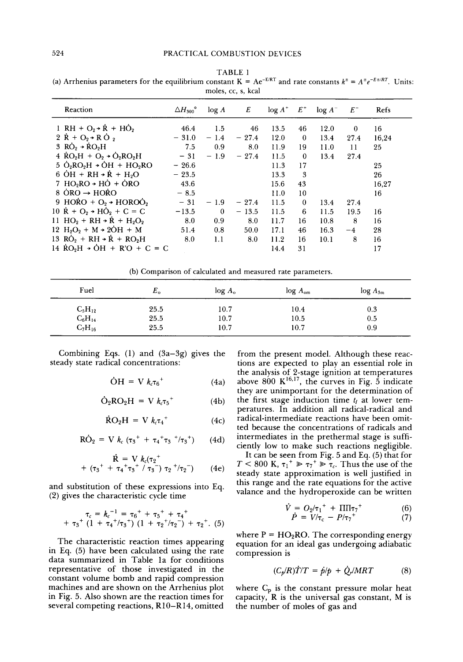| $E^-$<br>$log A^-$ | Refs  |  |  |  |  |  |
|--------------------|-------|--|--|--|--|--|
| $\theta$           | 16    |  |  |  |  |  |
| 27.4               | 16.24 |  |  |  |  |  |
| 11                 | 25    |  |  |  |  |  |
| 27.4               |       |  |  |  |  |  |
|                    | 25    |  |  |  |  |  |
|                    | 26    |  |  |  |  |  |
|                    | 16,27 |  |  |  |  |  |
|                    | 16    |  |  |  |  |  |
| 27.4               |       |  |  |  |  |  |
| 19.5               | 16    |  |  |  |  |  |
| 8                  | 16    |  |  |  |  |  |
| $-4$               | 28    |  |  |  |  |  |
| 8                  | 16    |  |  |  |  |  |
|                    | 17    |  |  |  |  |  |
|                    |       |  |  |  |  |  |

TABLE 1 (a) Arrhenius parameters for the equilibrium constant  $K = Ae^{-E/RT}$  and rate constants  $k^* = A^*e^{-E^*/RT}$ . Units: moles, cc, s, kcal

(b) Comparison of calculated and measured rate parameters.

| Fuel          | $E_{\rm o}$ | $log A_0$ | $log A_{\rm om}$ | $log A_{3m}$ |
|---------------|-------------|-----------|------------------|--------------|
| $C_5H_{12}$   | 25.5        | 10.7      | 10.4             | 0.3          |
| $C_6H_{14}$ . | 25.5        | 10.7      | 10.5             | 0.5          |
| $C_7H_{16}$   | 25.5        | 10.7      | 10.7             | 0.9          |

Combining Eqs. (1) and  $(3a-3g)$  gives the steady state radical concentrations:

$$
\dot{\text{OH}} = \text{V} \; k_c \tau_6^+ \tag{4a}
$$

$$
\dot{O}_2RO_2H = V k_c \tau_5^+
$$
 (4b)

$$
\dot{R}O_2H = V k_c \tau_4^+ \tag{4c}
$$

$$
R\dot{O}_2 = V k_c (\tau_3^+ + \tau_4^+ \tau_3^+/\tau_3^+) \qquad (4d)
$$

$$
\dot{\mathbf{R}} = \mathbf{V} k_c (\tau_2^+ + (\tau_3^+ + \tau_4^+ \tau_3^+ / \tau_3^-) \tau_2^+ / \tau_2^-)
$$
 (4e)

and substitution of these expressions into Eq. (2) gives the characteristic cycle time

$$
\tau_c = k_c^{-1} = \tau_6^+ + \tau_5^+ + \tau_4^+
$$
  
+ 
$$
\tau_3^+ (1 + \tau_4^+/\tau_3^+) (1 + \tau_2^+/\tau_2^-) + \tau_2^+.
$$
 (5)

The characteristic reaction times appearing in Eq. (5) have been calculated using the rate data summarized in Table la for conditions representative of those investigated in the constant volume bomb and rapid compression machines and are shown on the Arrhenius plot in Fig. 5. Also shown are the reaction times for several competing reactions, R10-RI4, omitted

from the present model. Although these reactions are expected to play an essential role in the analysis of 2-stage ignition at temperatures above 800 K<sup>10,17</sup>, the curves in Fig. 5 indicate they are unimportant for the determination of the first stage induction time  $t_i$  at lower temperatures. In addition all radical-radical and radical-intermediate reactions have been omitted because the concentrations of radicals and intermediates in the prethermal stage is sufficiently low to make such reactions negligible.

It can be seen from Fig. 5 and Eq. (5) that for  $T \leq 800 \text{ K}, \tau_1^{\text{T}} \geq \tau_7^{\text{T}} \geq \tau_c$ . Thus the use of the steady state approximation is well justified in this range and the rate equations for the active valance and the hydroperoxide can be written

$$
\dot{V} = O_2/\tau_1^+ + \Pi \Pi \tau_7^+ \tag{6}
$$
\n
$$
\dot{P} = V/\tau_c - P/\tau_7^+ \tag{7}
$$

where  $P = HO<sub>2</sub>RO$ . The corresponding energy equation for an ideal gas undergoing adiabatic compression is

$$
(C_p/R)\dot{T}/T = \dot{p}/p + \dot{Q}/MRT \tag{8}
$$

where  $C_p$  is the constant pressure molar heat capacity, R is the universal gas constant, M is the number of moles of gas and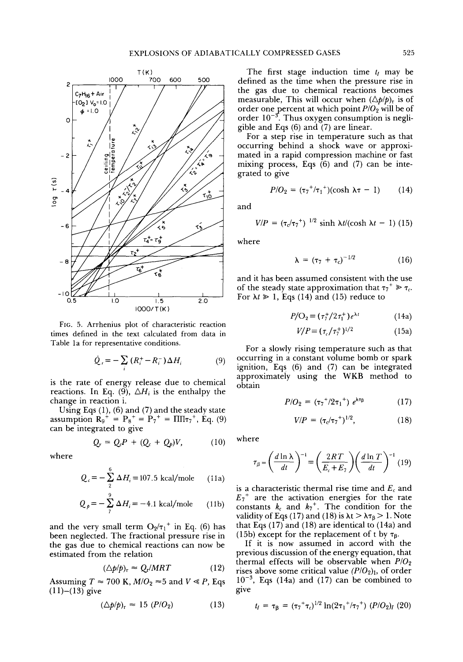

FIG. 5. Arrhenius plot of characteristic reaction times defined in the text calculated from data in Table la for representative conditions.

$$
\dot{Q}_r = -\sum_i (R_i^+ - R_i^-) \Delta H_i \tag{9}
$$

is the rate of energy release due to chemical reactions. In Eq. (9),  $\Delta H_i$  is the enthalpy the change in reaction i.

Using Eqs (1), (6) and (7) and the steady state assumption  $R_9^+ = P_8^+ = P_7^+ = \Pi \Pi \tau_7^+$ , Eq. (9) can be integrated to give

$$
Q_r = Q_c P + (Q_c + Q_p) V, \qquad (10)
$$

where

$$
Q_c = -\sum_{2}^{6} \Delta H_i = 107.5 \text{ kcal/mole} \qquad (11a)
$$

$$
Q_p = -\sum_{i=1}^{9} \Delta H_i = -4.1 \text{ kcal/mole} \qquad (11b)
$$

and the very small term  $O_2/\tau_1^+$  in Eq. (6) has been neglected. The fractional pressure rise in the gas due to chemical reactions can now be estimated from the relation

$$
(\Delta p/p)_{\rm r} \approx Q_{\rm r}/MRT \tag{12}
$$

Assuming  $T \approx 700$  K,  $M/O_2 \approx 5$  and  $V \ll P$ , Eqs  $(11)–(13)$  give

$$
(\Delta p/p)_{\rm r} \approx 15 \ (P/O_2) \tag{13}
$$

The first stage induction time  $t_1$  may be defined as the time when the pressure rise in the gas due to chemical reactions becomes measurable, This will occur when  $(\Delta p/p)_r$  is of order onepercent at which point *P/02* will be of order  $10^{-3}$ . Thus oxygen consumption is negligible and Eqs (6) and (7) are linear.

For a step rise in temperature such as that occurring behind a shock wave or approximated in a rapid compression machine or fast mixing process, Eqs  $(6)$  and  $(7)$  can be integrated to give

$$
P/O_2 = (\tau_7{}^+/\tau_1{}^+)(\cosh \lambda \tau - 1) \tag{14}
$$

and

$$
V/P = (\tau_c/\tau_7^+)^{-1/2} \sinh \lambda t/(\cosh \lambda t - 1) (15)
$$

where

$$
\lambda = (\tau_7 + \tau_c)^{-1/2} \tag{16}
$$

and it has been assumed consistent with the use of the steady state approximation that  $\tau_7^+ \geq \tau_c$ . For  $\lambda t \geq 1$ , Eqs (14) and (15) reduce to

$$
P/\mathcal{O}_2 = (\tau_7^+/2\tau_1^+)\,e^{\lambda t} \tag{14a}
$$

$$
V/P = (\tau_c / \tau_7^+)^{1/2} \tag{15a}
$$

For a slowly rising temperature such as that occurring in a constant volume bomb or spark ignition, Eqs (6) and (7) can be integrated approximately using the WKB method to obtain

$$
P/O_2 = (\tau_7{}^+/2\tau_1{}^+) e^{\lambda\tau_\beta} \tag{17}
$$

$$
V/P = (\tau_c/\tau_7^+)^{1/2}, \tag{18}
$$

where

$$
\tau_{\beta} = \left(\frac{d \ln \lambda}{dt}\right)^{-1} = \left(\frac{2RT}{E_c + E_7}\right) \left(\frac{d \ln T}{dt}\right)^{-1} (19)
$$

is a characteristic thermal rise time and  $E_c$  and  $E_7$ <sup>+</sup> are the activation energies for the rate constants  $k_c$  and  $k_7$ <sup>+</sup>. The condition for the validity of Eqs (17) and (18) is  $\lambda t > \lambda \tau_{\beta} > 1$ . Note that Eqs (17) and (18) are identical to (14a) and (15b) except for the replacement of t by  $\tau_{\beta}$ .

If it is now assumed in accord with the previous discussion of the energy equation, that thermal effects will be observable when *P/02*  rises above some critical value  $(P/O<sub>2</sub>)<sub>I</sub>$ , of order  $10^{-3}$ , Eqs (14a) and (17) can be combined to give

$$
t_I = \tau_\beta = (\tau_7{}^+\tau_c)^{1/2} \ln(2\tau_1{}^+\!/\tau_7{}^+)\ (P/O_2)_I\ (20)
$$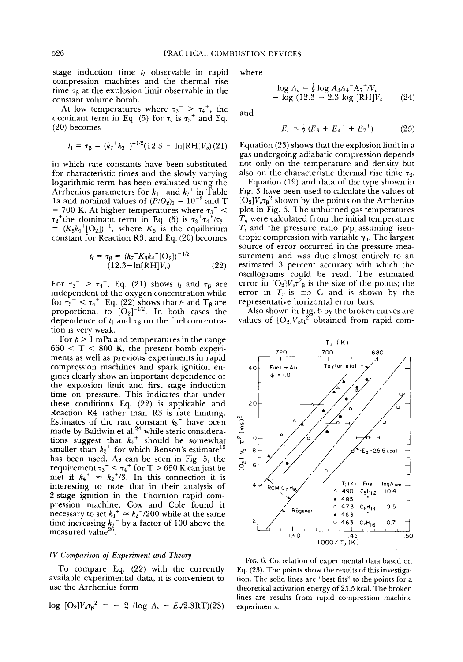stage induction time  $t_I$  observable in rapid where compression machines and the thermal rise time  $\tau_{\beta}$  at the explosion limit observable in the constant volume bomb.

At low temperatures where  $\tau_3^- > \tau_4^+$ , the and dominant term in Eq. (5) for  $\tau_c$  is  $\tau_3^+$  and Eq. (20) becomes

$$
t_{\rm I} = \tau_{\rm \beta} = (k_7 + k_3)^{-1/2} (12.3 - \ln[\rm RH] V_o) (21)
$$

in which rate constants have been substituted for characteristic times and the slowly varying logarithmic term has been evaluated using the Arrhenius parameters for  $k_1$ <sup>+</sup> and  $k_7$ <sup>+</sup> in Table la and nominal values of  $(P/O<sub>2</sub>)<sub>I</sub> = 10<sup>-3</sup>$  and T = 700 K. At higher temperatures where  $\tau_3$ <sup>-</sup> <  $\tau_2$ <sup>+</sup>the dominant term in Eq. (5) is  $\tau_3$ <sup>+</sup> $\tau_4$ <sup>+</sup>/ $\tau_3$ <sup>-</sup> =  $(K_3k_4^+[\text{O}_2])^{-1}$ , where  $K_3$  is the equilbrium constant for Reaction R3, and Eq. (20) becomes

$$
t_{I} = \tau_{\beta} = (k_{7}^{+} K_{3} k_{4}^{+} [O_{2}])^{-1/2}
$$
  
(12.3–ln[RH]V<sub>o</sub>) (22)

For  $\tau_3$ <sup>-</sup> >  $\tau_4$ <sup>+</sup>, Eq. (21) shows t<sub>I</sub> and  $\tau_8$  are independent of the oxygen concentration while for  $\tau_3^- < \tau_4^+$ , Eq. (22) shows that  $t_I$  and  $T_\beta$  are proportional to  $[O_2]^{-1/2}$ . In both cases the dependence of  $t_I$  and  $\tau_\beta$  on the fuel concentration is very weak.

For  $p > 1$  mPa and temperatures in the range  $650 < T < 800$  K, the present bomb experiments as well as previous experiments in rapid compression machines and spark ignition engines clearly show an important dependence of the explosion limit and first stage induction time on pressure. This indicates that under these conditions Eq. (22) is applicable and Reaction R4 rather than R3 is rate limiting. Estimates of the rate constant  $k_3$ <sup>+</sup> have been made by Baldwin et al.<sup>24</sup> while steric considerations suggest that  $k_4$ <sup>+</sup> should be somewhat smaller than  $k_2$ <sup>+</sup> for which Benson's estimate<sup>16</sup> has been used. As can be seen in Fig. 5, the requirement  $\tau_3^- < \tau_4^+$  for T  $> 650$  K can just be met if  $k_4$ <sup>+</sup>  $\approx k_2$ <sup>+</sup>/3. In this connection it is interesting to note that in their analysis of 2-stage ignition in the Thornton rapid compression machine, Cox and Cole found it necessary to set  $k_4^+ \approx k_2^+/200$  while at the same time increasing  $k_7$ <sup>+</sup> by a factor of 100 above the measured value<sup>26</sup>.

#### *IV Comparison of Experiment and Theory*

To compare Eq. (22) with the currently available experimental data, it is convenient to use the Arrhenius form

$$
\log [O_2]V_o \tau_\beta^2 = - 2 (\log A_o - E_o/2.3RT)(23)
$$

$$
\log A_o = \frac{1}{2} \log A_3 A_4^+ A_7^+ / V_o
$$
  
- log (12.3 - 2.3 log [RH]*V*<sub>o</sub> (24)

$$
E_o = \frac{1}{2} \left( E_3 + E_4^+ + E_7^+ \right) \tag{25}
$$

Equation (23) shows that the explosion limit in a gas undergoing adiabatic compression depends not only on the temperature and density but also on the characteristic thermal rise time  $\tau_{\beta}$ .

Equation (19) and data of the type shown in Fig. 3 have been used to calculate the values of  $[O_2]V_o\tau_B^2$  shown by the points on the Arrhenius plot in Fig. 6. The unburned gas temperatures  $T<sub>u</sub>$  were calculated from the initial temperature  $T_i$  and the pressure ratio p/p<sub>i</sub> assuming isentropic compression with variable  $\gamma$ <sub>u</sub>. The largest source of error occurred in the pressure measurement and was due almost entirely to an estimated 3 percent accuracy with which the oscillograms could be read. The estimated error in  $[O_2]V_{\sigma}^2 \vec{r}_{\beta}$  is the size of the points; the error in  $T_u$  is  $\pm 5$  C and is shown by the representative horizontal error bars.

Also shown in Fig. 6 by the broken curves are values of  $[O_2]V_0t_1^2$  obtained from rapid com-



FIG. 6. Correlation of experimental data based on Eq. (23). The points show the results of this investigation. The solid lines are "best fits" to the points for a theoretical activation energy of 25.5 kcal. The broken lines are results from rapid compression machine experiments.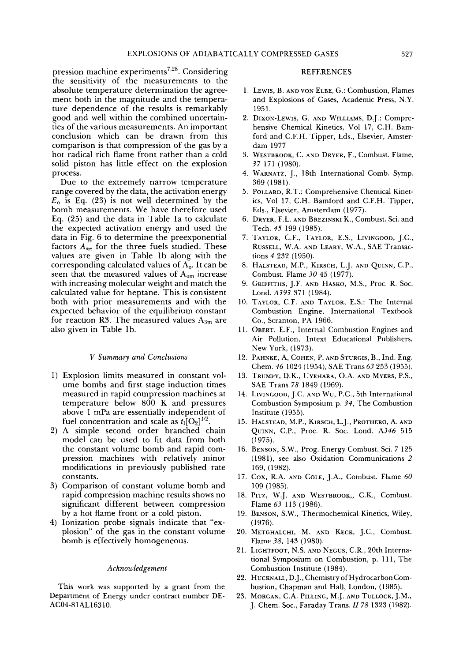pression machine experiments<sup>7,28</sup>. Considering the sensitivity of the measurements to the absolute temperature determination the agreement both in the magnitude and the temperature dependence of the results is remarkably good and well within the combined uncertainties of the various measurements. An important conclusion which can be drawn from this comparison is that compression of the gas by a hot radical rich flame front rather than a cold solid piston has little effect on the explosion process.

Due to the extremely narrow temperature range covered by the data, the activation energy  $E_0$  is Eq. (23) is not well determined by the bomb measurements. We have therefore used Eq. (25) and the data in Table la to calculate the expected activation energy and used the data in Fig. 6 to determine the preexponential factors  $A_{\text{om}}$  for the three fuels studied. These values are given in Table lb along with the corresponding calculated values of  $A_0$ . It can be seen that the measured values of  $A_{om}$  increase with increasing molecular weight and match the calculated value for heptane, This is consistent both with prior measurements and with the expected behavior of the equilibrium constant for reaction R3. The measured values  $A_{3m}$  are also given in Table lb.

#### *V Summary and Conclusions*

- 1) Explosion limits measured in constant volume bombs and first stage induction times measured in rapid compression machines at temperature below 800 K and pressures above 1 mPa are essentially independent of fuel concentration and scale as  $t_1[O_2]^{1/2}$ .
- 2) A simple second order branched chain model can be used to fit data from both the constant volume bomb and rapid compression machines with relatively minor modifications in previously published rate constants.
- 3) Comparison of constant volume bomb and rapid compression machine results shows no significant different between compression by a hot flame front or a cold piston.
- 4) Ionization probe signals indicate that "explosion" of the gas in the constant volume bomb is effectively homogeneous.

#### *Acknowledgement*

This work was supported by a grant from the Department of Energy under contract number DE-AC04-81AL16310.

#### REFERENCES

- 1. LEWIS, B. AND VON ELBE, G.: Combustion, Flames and Explosions of Gases, Academic Press, N.Y. 1951.
- 2. DIXON-LEWIS, G. AND WILLIAMS, D.J.: Comprehensive Chemical Kinetics, Vol 17, C.H. Bamford and C.F.H. Tipper, Eds., Elsevier, Amsterdam 1977
- 3. WESTBROOK, C. AND DRYER, F., Combust. Flame, *37* 171 (1980).
- 4. WARNATZ, J., 18th International Comb. Symp. 369 (1981).
- 5. POLLARD, R.T.: Comprehensive Chemical Kinetics, Vol 17, C.H. Bamford and C.F.H. Tipper, Eds., Elsevier, Amsterdam (1977).
- 6. DRYER, F.L. AND BREZINSKI K., Combust. Sci. and Tech. *45* 199 (1985).
- 7. TAYLOR, C.F., TAYLOR, E.S., LIVINGOOD, J.C., RUSSELL, W.A. AND LEARY, W.A., SAE Transactions 4 232 (1950).
- 8. HALSTEAD, M.P., KIRSCH, L.J. AnD QUINN, C.P., Combust. Flame *30* 45 (1977).
- 9. GRIFFITHS, J.F. ANn HASKO, M.S., Proc. R. Soc. Lond. *A393* 371 (1984).
- 10. TAYLOR, C.F. AND TAYLOR, E.S.: The Internal Combustion Engine, International Textbook Co., Scranton, PA 1966.
- 11. OBERT, E.F., Internal Combustion Engines and Air Pollution, Intext Educational Publishers, New York, (1973).
- 12. PAHNKE, A, COHEN, P. AND STURGIS, B., Ind. Eng. Chem. *46* 1024 (1954), SAE Trans *63* 253 (1955).
- 13. TRUMPY, D.K., UYEHARA, O.A. AND MYERS, P.S., SAE Trans 78 1849 (1969).
- 14. LIVlNGOOn, J.C. AND Wu, P,C,, 5th International Combustion Symposium p. *34,* The Combustion Institute (1955).
- 15. HALSTEAD, M.P., KIRSCH, L.J., PROTHERO, A. AND QUINN, C.P., Proc. R. Soc. Lond. *A346* 515 (1975).
- 16. BENSON, S.W., Prog. Energy Combust. Sci. 7 125 (1981), see also Oxidation Communications 2 169, (1982).
- 17. Cox, R.A. AND COLE, J.A., Combust. Flame *60*  109 (1985).
- 18. PITZ, w.J. AND WESTBROOK,, C.K., Combust. Flame *63* 113 (1986).
- 19. BENSON, S.W., Thermochemical Kinetics, Wiley, (1976).
- 20. METGHALCHI, M. AND KECK, J.C., Combust. Flame *38,* 143 (1980).
- 21. LIGHTFOOT, N.S. AND NEGUS, C.R., 20th International Symposium on Combustion, p. 111, The Combustion Institute (1984).
- 22. HUCKNALL, D.J., Chemistry of Hydrocarbon Combustion, Chapman and Hall, London, (1985).
- 23. MORGAN, C.A. PILLING, M.J. AND TULLOCK, J.M., J. Chem. Soc., Faraday Trans. H 78 1323 (1982).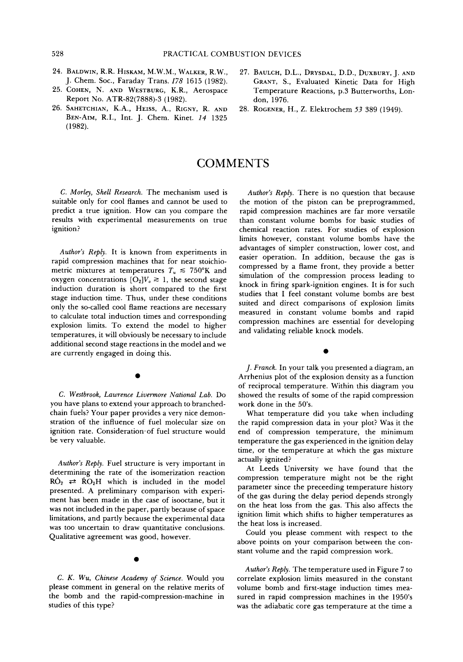- 24. BALDWIN, R.R. HISKAM, M.W.M., WALKER, R.W., J. Chem. Soc., Faraday Trans. *178* 1615 (1982).
- 25. COHEN, N. AND WESTBURG, K.R., Aerospace Report No. ATR-82(7888)-3 (1982).
- 26. SAHETCHIAN, K.A., HEISS, A., RIGNY, R. AND BEN-AIM, R.I., Int. J. Chem. Kinet. *14* 1325 (1982).
- 27. BAULCH, D.L., DRYSDAL, D.D., DUXBURY, J. AND GRANT, S., Evaluated Kinetic Data for High Temperature Reactions, p.3 Butterworths, London, 1976.
- 28. ROGENER, H., Z. Elektrochem *53* 389 (1949).

# **COMMENTS**

*C. Morley, Shell Research.* The mechanism used is suitable only for cool flames and cannot be used to predict a true ignition. How can you compare the results with experimental measurements on true ignition?

*Author's Reply.* It is known from experiments in rapid compression machines that for near stoichiometric mixtures at temperatures  $T_u \le 750^{\circ}$ K and oxygen concentrations  $[O_2]V_o \ge 1$ , the second stage induction duration is short compared to the first stage induction time. Thus, under these conditions only the so-called cool flame reactions are necessary to calculate total induction times and corresponding explosion limits. To extend the model to higher temperatures, it will obviously be necessary to include additional second stage reactions in the model and we are currently engaged in doing this.

*C. Westbrook, Lawrence Livermore National Lab.* Do you have plans to extend your approach to branchedchain fuels? Your paper provides a very nice demonstration of the influence of fuel molecular size on ignition rate. Consideration of fuel structure would be very valuable.

*Author's Reply.* Fuel structure is very important in determining the rate of the isomerization reaction  $R\dot{O}_2 \rightleftharpoons \dot{R}O_2H$  which is included in the model presented. A preliminary comparison with experiment has been made in the case of isooctane, but it was not included in the paper, partly because of space limitations, and partly because the experimental data was too uncertain to draw quantitative conclusions. Qualitative agreement was good, however.

*C. K. Wu, Chinese Academy of Science.* Would you please comment in general on the relative merits of the bomb and the rapid-compression-machine in studies of this type?

*Author's Reply.* There is no question that because the motion of the piston can be preprogrammed, rapid compression machines are far more versatile than constant volume bombs for basic studies of chemical reaction rates. For studies of explosion limits however, constant volume bombs have the advantages of simpler construction, lower cost, and easier operation. In addition, because the gas is compressed by a flame front, they provide a better simulation of the compression process leading to knock in firing spark-ignition engines. It is for such studies that I feel constant volume bombs are best suited and direct comparisons of explosion limits measured in constant volume bombs and rapid compression machines are essential for developing and validating reliable knock models.

*J. Franck.* In your talk you presented a diagram, an Arrhenius plot of the explosion density as a function of reciprocal temperature. Within this diagram you showed the results of some of the rapid compression work done in the 50's.

What temperature did you take when including the rapid compression data in your plot? Was it the end of compression temperature, the minimum temperature the gas experienced in the ignition delay time, or the temperature at which the gas mixture actually ignited?

At Leeds University we have found that the compression temperature might not be the right parameter since the preceeding temperature history of the gas during the delay period depends strongly on the heat loss from the gas. This also affects the ignition limit which shifts to higher temperatures as the heat loss is increased.

Could you please comment with respect to the above points on your comparison between the constant volume and the rapid compression work.

*Author's Reply.* The temperature used in Figure 7 to correlate explosion limits measured in the constant volume bomb and first-stage induction times measured in rapid compression machines in the 1950's was the adiabatic core gas temperature at the time a